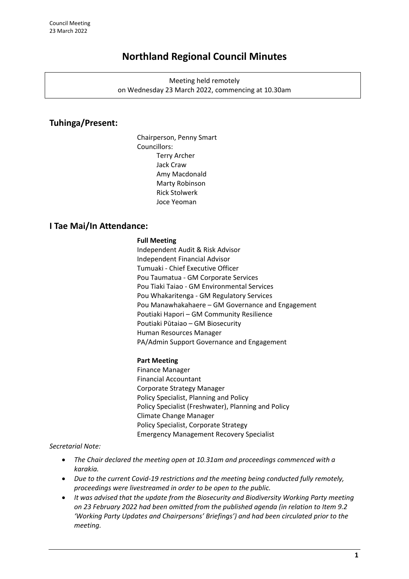# **Northland Regional Council Minutes**

Meeting held remotely on Wednesday 23 March 2022, commencing at 10.30am

# **Tuhinga/Present:**

Chairperson, Penny Smart Councillors: Terry Archer Jack Craw Amy Macdonald Marty Robinson Rick Stolwerk Joce Yeoman

# **I Tae Mai/In Attendance:**

#### **Full Meeting**

Independent Audit & Risk Advisor Independent Financial Advisor Tumuaki - Chief Executive Officer Pou Taumatua - GM Corporate Services Pou Tiaki Taiao - GM Environmental Services Pou Whakaritenga - GM Regulatory Services Pou Manawhakahaere – GM Governance and Engagement Poutiaki Hapori – GM Community Resilience Poutiaki Pūtaiao – GM Biosecurity Human Resources Manager PA/Admin Support Governance and Engagement

### **Part Meeting**

Finance Manager Financial Accountant Corporate Strategy Manager Policy Specialist, Planning and Policy Policy Specialist (Freshwater), Planning and Policy Climate Change Manager Policy Specialist, Corporate Strategy Emergency Management Recovery Specialist

*Secretarial Note:* 

- *The Chair declared the meeting open at 10.31am and proceedings commenced with a karakia.*
- *Due to the current Covid-19 restrictions and the meeting being conducted fully remotely, proceedings were livestreamed in order to be open to the public.*
- *It was advised that the update from the Biosecurity and Biodiversity Working Party meeting on 23 February 2022 had been omitted from the published agenda (in relation to Item 9.2 'Working Party Updates and Chairpersons' Briefings') and had been circulated prior to the meeting.*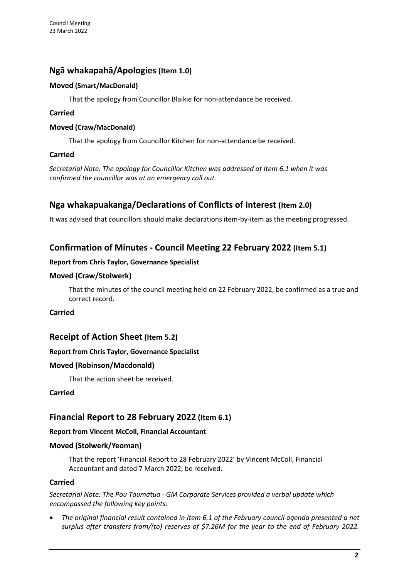# **Ngā whakapahā/Apologies (Item 1.0)**

### **Moved (Smart/MacDonald)**

That the apology from Councillor Blaikie for non-attendance be received.

### **Carried**

### **Moved (Craw/MacDonald)**

That the apology from Councillor Kitchen for non-attendance be received.

### **Carried**

*Secretarial Note: The apology for Councillor Kitchen was addressed at Item 6.1 when it was confirmed the councillor was at an emergency call out.* 

# **Nga whakapuakanga/Declarations of Conflicts of Interest (Item 2.0)**

It was advised that councillors should make declarations item-by-item as the meeting progressed.

# **Confirmation of Minutes - Council Meeting 22 February 2022 (Item 5.1)**

### **Report from Chris Taylor, Governance Specialist**

### **Moved (Craw/Stolwerk)**

That the minutes of the council meeting held on 22 February 2022, be confirmed as a true and correct record.

**Carried**

# **Receipt of Action Sheet (Item 5.2)**

### **Report from Chris Taylor, Governance Specialist**

### **Moved (Robinson/Macdonald)**

That the action sheet be received.

### **Carried**

# **Financial Report to 28 February 2022 (Item 6.1)**

### **Report from Vincent McColl, Financial Accountant**

### **Moved (Stolwerk/Yeoman)**

That the report 'Financial Report to 28 February 2022' by Vincent McColl, Financial Accountant and dated 7 March 2022, be received.

### **Carried**

*Secretarial Note: The Pou Taumatua - GM Corporate Services provided a verbal update which encompassed the following key points:*

• *The original financial result contained in Item 6.1 of the February council agenda presented a net surplus after transfers from/(to) reserves of \$7.26M for the year to the end of February 2022.*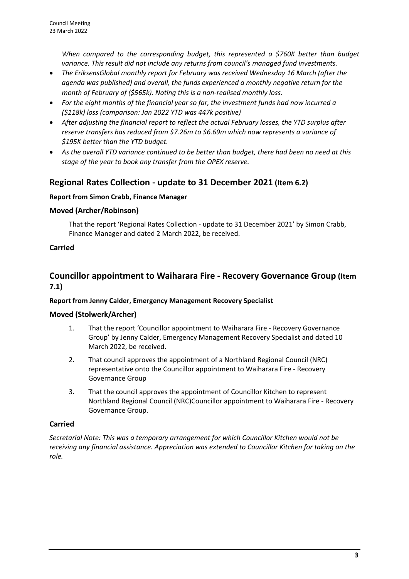*When compared to the corresponding budget, this represented a \$760K better than budget variance. This result did not include any returns from council's managed fund investments.*

- *The EriksensGlobal monthly report for February was received Wednesday 16 March (after the agenda was published) and overall, the funds experienced a monthly negative return for the month of February of (\$565k). Noting this is a non-realised monthly loss.*
- *For the eight months of the financial year so far, the investment funds had now incurred a (\$118k) loss (comparison: Jan 2022 YTD was 447k positive)*
- *After adjusting the financial report to reflect the actual February losses, the YTD surplus after reserve transfers has reduced from \$7.26m to \$6.69m which now represents a variance of \$195K better than the YTD budget.*
- *As the overall YTD variance continued to be better than budget, there had been no need at this stage of the year to book any transfer from the OPEX reserve.*

# **Regional Rates Collection - update to 31 December 2021 (Item 6.2)**

### **Report from Simon Crabb, Finance Manager**

### **Moved (Archer/Robinson)**

That the report 'Regional Rates Collection - update to 31 December 2021' by Simon Crabb, Finance Manager and dated 2 March 2022, be received.

## **Carried**

# **Councillor appointment to Waiharara Fire - Recovery Governance Group (Item 7.1)**

### **Report from Jenny Calder, Emergency Management Recovery Specialist**

### **Moved (Stolwerk/Archer)**

- 1. That the report 'Councillor appointment to Waiharara Fire Recovery Governance Group' by Jenny Calder, Emergency Management Recovery Specialist and dated 10 March 2022, be received.
- 2. That council approves the appointment of a Northland Regional Council (NRC) representative onto the Councillor appointment to Waiharara Fire - Recovery Governance Group
- 3. That the council approves the appointment of Councillor Kitchen to represent Northland Regional Council (NRC)Councillor appointment to Waiharara Fire - Recovery Governance Group.

### **Carried**

*Secretarial Note: This was a temporary arrangement for which Councillor Kitchen would not be receiving any financial assistance. Appreciation was extended to Councillor Kitchen for taking on the role.*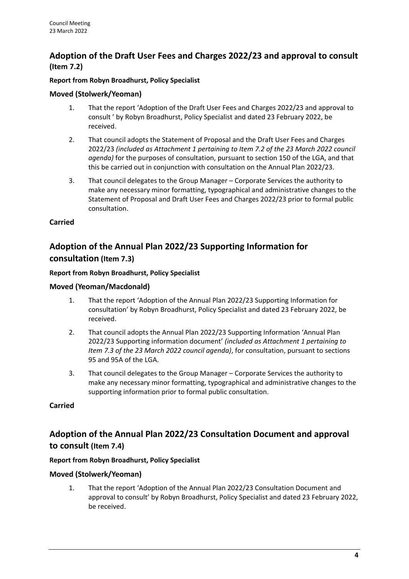# **Adoption of the Draft User Fees and Charges 2022/23 and approval to consult (Item 7.2)**

### **Report from Robyn Broadhurst, Policy Specialist**

### **Moved (Stolwerk/Yeoman)**

- 1. That the report 'Adoption of the Draft User Fees and Charges 2022/23 and approval to consult ' by Robyn Broadhurst, Policy Specialist and dated 23 February 2022, be received.
- 2. That council adopts the Statement of Proposal and the Draft User Fees and Charges 2022/23 *(included as Attachment 1 pertaining to Item 7.2 of the 23 March 2022 council agenda)* for the purposes of consultation, pursuant to section 150 of the LGA, and that this be carried out in conjunction with consultation on the Annual Plan 2022/23.
- 3. That council delegates to the Group Manager Corporate Services the authority to make any necessary minor formatting, typographical and administrative changes to the Statement of Proposal and Draft User Fees and Charges 2022/23 prior to formal public consultation.

### **Carried**

# **Adoption of the Annual Plan 2022/23 Supporting Information for consultation (Item 7.3)**

#### **Report from Robyn Broadhurst, Policy Specialist**

### **Moved (Yeoman/Macdonald)**

- 1. That the report 'Adoption of the Annual Plan 2022/23 Supporting Information for consultation' by Robyn Broadhurst, Policy Specialist and dated 23 February 2022, be received.
- 2. That council adopts the Annual Plan 2022/23 Supporting Information 'Annual Plan 2022/23 Supporting information document' *(included as Attachment 1 pertaining to Item 7.3 of the 23 March 2022 council agenda)*, for consultation, pursuant to sections 95 and 95A of the LGA.
- 3. That council delegates to the Group Manager Corporate Services the authority to make any necessary minor formatting, typographical and administrative changes to the supporting information prior to formal public consultation.

### **Carried**

# **Adoption of the Annual Plan 2022/23 Consultation Document and approval to consult (Item 7.4)**

### **Report from Robyn Broadhurst, Policy Specialist**

### **Moved (Stolwerk/Yeoman)**

1. That the report 'Adoption of the Annual Plan 2022/23 Consultation Document and approval to consult' by Robyn Broadhurst, Policy Specialist and dated 23 February 2022, be received.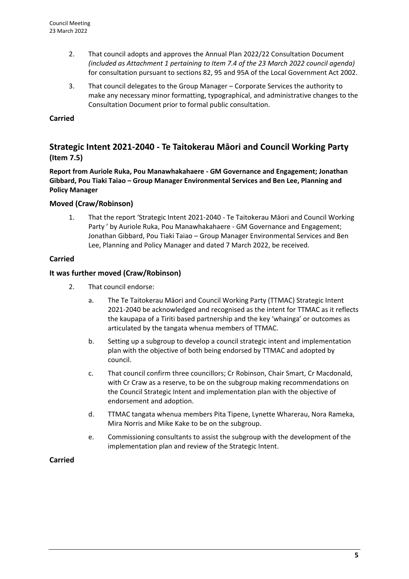- 2. That council adopts and approves the Annual Plan 2022/22 Consultation Document *(included as Attachment 1 pertaining to Item 7.4 of the 23 March 2022 council agenda)*  for consultation pursuant to sections 82, 95 and 95A of the Local Government Act 2002.
- 3. That council delegates to the Group Manager Corporate Services the authority to make any necessary minor formatting, typographical, and administrative changes to the Consultation Document prior to formal public consultation.

### **Carried**

# **Strategic Intent 2021-2040 - Te Taitokerau Māori and Council Working Party (Item 7.5)**

**Report from Auriole Ruka, Pou Manawhakahaere - GM Governance and Engagement; Jonathan Gibbard, Pou Tiaki Taiao – Group Manager Environmental Services and Ben Lee, Planning and Policy Manager**

### **Moved (Craw/Robinson)**

1. That the report 'Strategic Intent 2021-2040 - Te Taitokerau Māori and Council Working Party ' by Auriole Ruka, Pou Manawhakahaere - GM Governance and Engagement; Jonathan Gibbard, Pou Tiaki Taiao – Group Manager Environmental Services and Ben Lee, Planning and Policy Manager and dated 7 March 2022, be received.

### **Carried**

### **It was further moved (Craw/Robinson)**

- 2. That council endorse:
	- a. The Te Taitokerau Māori and Council Working Party (TTMAC) Strategic Intent 2021-2040 be acknowledged and recognised as the intent for TTMAC as it reflects the kaupapa of a Tiriti based partnership and the key 'whainga' or outcomes as articulated by the tangata whenua members of TTMAC.
	- b. Setting up a subgroup to develop a council strategic intent and implementation plan with the objective of both being endorsed by TTMAC and adopted by council.
	- c. That council confirm three councillors; Cr Robinson, Chair Smart, Cr Macdonald, with Cr Craw as a reserve, to be on the subgroup making recommendations on the Council Strategic Intent and implementation plan with the objective of endorsement and adoption.
	- d. TTMAC tangata whenua members Pita Tipene, Lynette Wharerau, Nora Rameka, Mira Norris and Mike Kake to be on the subgroup.
	- e. Commissioning consultants to assist the subgroup with the development of the implementation plan and review of the Strategic Intent.

### **Carried**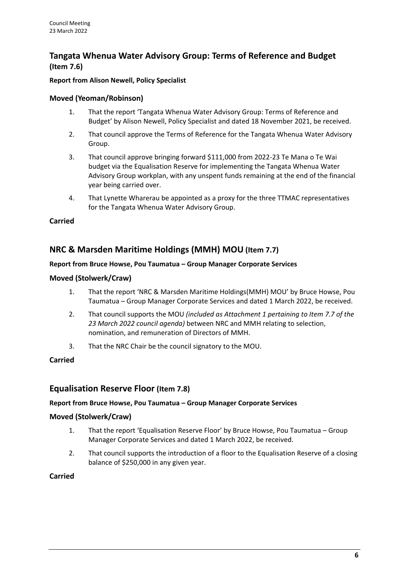# **Tangata Whenua Water Advisory Group: Terms of Reference and Budget (Item 7.6)**

### **Report from Alison Newell, Policy Specialist**

### **Moved (Yeoman/Robinson)**

- 1. That the report 'Tangata Whenua Water Advisory Group: Terms of Reference and Budget' by Alison Newell, Policy Specialist and dated 18 November 2021, be received.
- 2. That council approve the Terms of Reference for the Tangata Whenua Water Advisory Group.
- 3. That council approve bringing forward \$111,000 from 2022-23 Te Mana o Te Wai budget via the Equalisation Reserve for implementing the Tangata Whenua Water Advisory Group workplan, with any unspent funds remaining at the end of the financial year being carried over.
- 4. That Lynette Wharerau be appointed as a proxy for the three TTMAC representatives for the Tangata Whenua Water Advisory Group.

### **Carried**

# **NRC & Marsden Maritime Holdings (MMH) MOU (Item 7.7)**

### **Report from Bruce Howse, Pou Taumatua – Group Manager Corporate Services**

#### **Moved (Stolwerk/Craw)**

- 1. That the report 'NRC & Marsden Maritime Holdings(MMH) MOU' by Bruce Howse, Pou Taumatua – Group Manager Corporate Services and dated 1 March 2022, be received.
- 2. That council supports the MOU *(included as Attachment 1 pertaining to Item 7.7 of the 23 March 2022 council agenda)* between NRC and MMH relating to selection, nomination, and remuneration of Directors of MMH.
- 3. That the NRC Chair be the council signatory to the MOU.

### **Carried**

## **Equalisation Reserve Floor (Item 7.8)**

#### **Report from Bruce Howse, Pou Taumatua – Group Manager Corporate Services**

### **Moved (Stolwerk/Craw)**

- 1. That the report 'Equalisation Reserve Floor' by Bruce Howse, Pou Taumatua Group Manager Corporate Services and dated 1 March 2022, be received.
- 2. That council supports the introduction of a floor to the Equalisation Reserve of a closing balance of \$250,000 in any given year.

#### **Carried**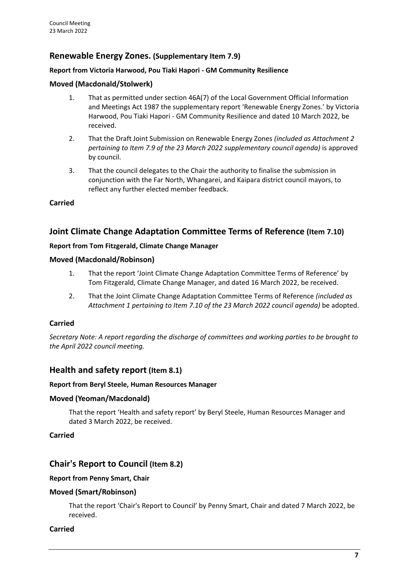# **Renewable Energy Zones. (Supplementary Item 7.9)**

### **Report from Victoria Harwood, Pou Tiaki Hapori - GM Community Resilience**

#### **Moved (Macdonald/Stolwerk)**

- 1. That as permitted under section 46A(7) of the Local Government Official Information and Meetings Act 1987 the supplementary report 'Renewable Energy Zones.' by Victoria Harwood, Pou Tiaki Hapori - GM Community Resilience and dated 10 March 2022, be received.
- 2. That the Draft Joint Submission on Renewable Energy Zones *(included as Attachment 2 pertaining to Item 7.9 of the 23 March 2022 supplementary council agenda)* is approved by council.
- 3. That the council delegates to the Chair the authority to finalise the submission in conjunction with the Far North, Whangarei, and Kaipara district council mayors, to reflect any further elected member feedback.

#### **Carried**

## **Joint Climate Change Adaptation Committee Terms of Reference (Item 7.10)**

#### **Report from Tom Fitzgerald, Climate Change Manager**

#### **Moved (Macdonald/Robinson)**

- 1. That the report 'Joint Climate Change Adaptation Committee Terms of Reference' by Tom Fitzgerald, Climate Change Manager, and dated 16 March 2022, be received.
- 2. That the Joint Climate Change Adaptation Committee Terms of Reference *(included as Attachment 1 pertaining to Item 7.10 of the 23 March 2022 council agenda)* be adopted.

### **Carried**

*Secretary Note: A report regarding the discharge of committees and working parties to be brought to the April 2022 council meeting.*

## **Health and safety report (Item 8.1)**

#### **Report from Beryl Steele, Human Resources Manager**

#### **Moved (Yeoman/Macdonald)**

That the report 'Health and safety report' by Beryl Steele, Human Resources Manager and dated 3 March 2022, be received.

#### **Carried**

## **Chair's Report to Council (Item 8.2)**

#### **Report from Penny Smart, Chair**

### **Moved (Smart/Robinson)**

That the report 'Chair's Report to Council' by Penny Smart, Chair and dated 7 March 2022, be received.

#### **Carried**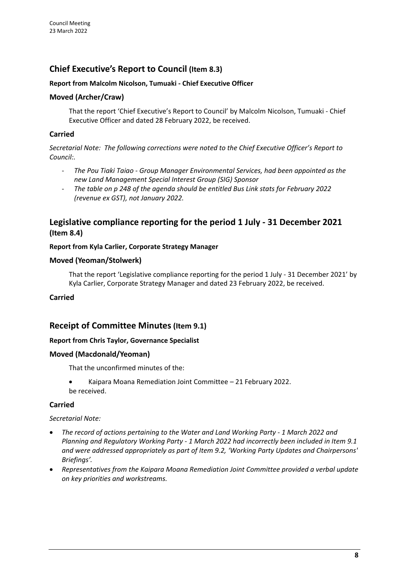# **Chief Executive's Report to Council (Item 8.3)**

### **Report from Malcolm Nicolson, Tumuaki - Chief Executive Officer**

### **Moved (Archer/Craw)**

That the report 'Chief Executive's Report to Council' by Malcolm Nicolson, Tumuaki - Chief Executive Officer and dated 28 February 2022, be received.

#### **Carried**

*Secretarial Note: The following corrections were noted to the Chief Executive Officer's Report to Council:.*

- *The Pou Tiaki Taiao - Group Manager Environmental Services, had been appointed as the new Land Management Special Interest Group (SIG) Sponsor*
- *The table on p 248 of the agenda should be entitled Bus Link stats for February 2022 (revenue ex GST), not January 2022.*

# **Legislative compliance reporting for the period 1 July - 31 December 2021 (Item 8.4)**

#### **Report from Kyla Carlier, Corporate Strategy Manager**

#### **Moved (Yeoman/Stolwerk)**

That the report 'Legislative compliance reporting for the period 1 July - 31 December 2021' by Kyla Carlier, Corporate Strategy Manager and dated 23 February 2022, be received.

### **Carried**

## **Receipt of Committee Minutes (Item 9.1)**

### **Report from Chris Taylor, Governance Specialist**

#### **Moved (Macdonald/Yeoman)**

That the unconfirmed minutes of the:

• Kaipara Moana Remediation Joint Committee – 21 February 2022. be received.

#### **Carried**

#### *Secretarial Note:*

- *The record of actions pertaining to the Water and Land Working Party - 1 March 2022 and Planning and Regulatory Working Party - 1 March 2022 had incorrectly been included in Item 9.1 and were addressed appropriately as part of Item 9.2, 'Working Party Updates and Chairpersons' Briefings'.*
- *Representatives from the Kaipara Moana Remediation Joint Committee provided a verbal update on key priorities and workstreams.*